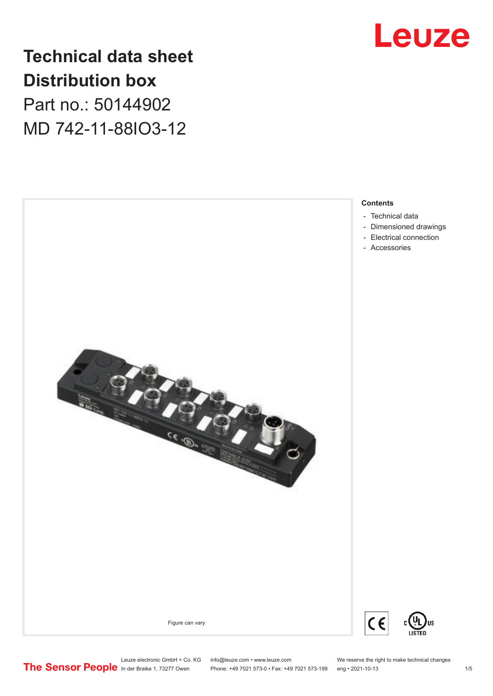

## **Technical data sheet Distribution box**

Part no.: 50144902 MD 742-11-88IO3-12

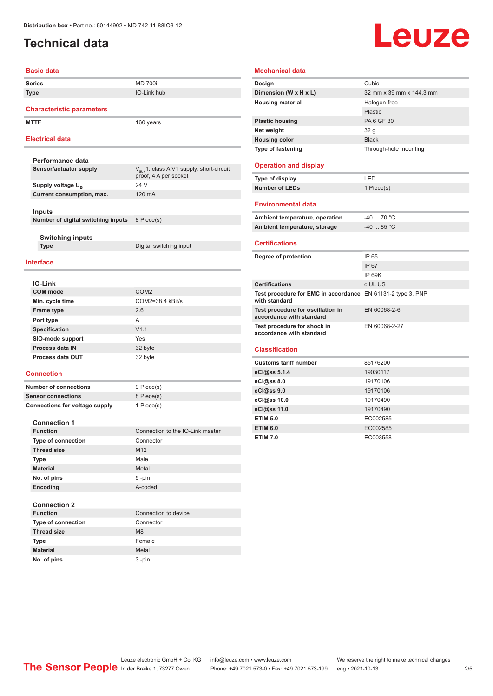## <span id="page-1-0"></span>**Technical data**

# Leuze

#### **Basic data**

| Series      | <b>MD 700i</b>     |
|-------------|--------------------|
| <b>Type</b> | <b>IO-Link hub</b> |

**Characteristic parameters**

**Switching inputs**

**MTTF** 160 years

#### **Electrical data**

| Performance data                   |                                                                               |
|------------------------------------|-------------------------------------------------------------------------------|
| Sensor/actuator supply             | $V_{\text{aux}}$ 1: class A V1 supply, short-circuit<br>proof, 4 A per socket |
| Supply voltage U <sub>p</sub>      | 24 V                                                                          |
| Current consumption, max.          | 120 mA                                                                        |
| Inputs                             |                                                                               |
| Number of digital switching inputs | 8 Piece(s)                                                                    |
|                                    |                                                                               |

**Type** Digital switching input

#### **Interface**

| <b>IO-Link</b>         |                    |
|------------------------|--------------------|
| <b>COM</b> mode        | COM <sub>2</sub>   |
| Min. cycle time        | $COM2=38.4$ kBit/s |
| <b>Frame type</b>      | 2.6                |
| Port type              | A                  |
| Specification          | V1.1               |
| SIO-mode support       | Yes                |
| <b>Process data IN</b> | 32 byte            |
| Process data OUT       | 32 byte            |

#### **Connection**

**Number of connections** 9 Piece(s) **Sensor connections** 8 Piece(s) **Connections for voltage supply** 1 Piece(s)

#### **Connection 1**

| <b>Function</b>           | Connection to the IO-Link master |
|---------------------------|----------------------------------|
| <b>Type of connection</b> | Connector                        |
| <b>Thread size</b>        | M <sub>12</sub>                  |
| <b>Type</b>               | Male                             |
| <b>Material</b>           | Metal                            |
| No. of pins               | $5 - pin$                        |
| Encoding                  | A-coded                          |

#### **Connection 2**

| <b>Function</b>           | Connection to device |
|---------------------------|----------------------|
| <b>Type of connection</b> | Connector            |
| <b>Thread size</b>        | M <sub>8</sub>       |
| <b>Type</b>               | Female               |
| <b>Material</b>           | Metal                |
| No. of pins               | $3$ -pin             |

#### **Mechanical data**

| Design                   | Cubic                    |
|--------------------------|--------------------------|
| Dimension (W x H x L)    | 32 mm x 39 mm x 144.3 mm |
| <b>Housing material</b>  | Halogen-free             |
|                          | Plastic                  |
| <b>Plastic housing</b>   | PA 6 GF 30               |
| Net weight               | 32 g                     |
| <b>Housing color</b>     | <b>Black</b>             |
| <b>Type of fastening</b> | Through-hole mounting    |
|                          |                          |

#### **Operation and display**

| Type of display       | I FD.      |
|-----------------------|------------|
| <b>Number of LEDs</b> | 1 Piece(s) |

#### **Environmental data**

| Ambient temperature, operation | -40  70 °C |
|--------------------------------|------------|
| Ambient temperature, storage   | $-4085$ °C |

#### **Certifications**

| Degree of protection                                                                | IP 65         |
|-------------------------------------------------------------------------------------|---------------|
|                                                                                     |               |
|                                                                                     | IP 67         |
|                                                                                     | IP 69K        |
| <b>Certifications</b>                                                               | c UL US       |
| <b>Test procedure for EMC in accordance</b> EN 61131-2 type 3, PNP<br>with standard |               |
| Test procedure for oscillation in<br>accordance with standard                       | EN 60068-2-6  |
| Test procedure for shock in<br>accordance with standard                             | EN 60068-2-27 |

#### **Classification**

| <b>Customs tariff number</b> | 85176200 |
|------------------------------|----------|
| eCl@ss 5.1.4                 | 19030117 |
| $eC/\omega$ ss 8.0           | 19170106 |
| eCl@ss 9.0                   | 19170106 |
| eCl@ss 10.0                  | 19170490 |
| eCl@ss 11.0                  | 19170490 |
| <b>ETIM 5.0</b>              | EC002585 |
| <b>ETIM 6.0</b>              | EC002585 |
| <b>ETIM 7.0</b>              | EC003558 |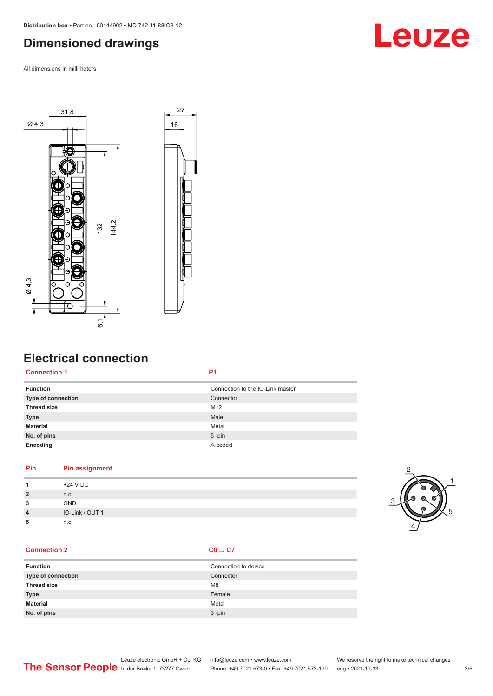## <span id="page-2-0"></span>**Dimensioned drawings**

All dimensions in millimeters



## **Electrical connection**

#### **Connection 1 P1**

| <b>Function</b>    | Connection to the IO-Link master |
|--------------------|----------------------------------|
| Type of connection | Connector                        |
| <b>Thread size</b> | M12                              |
| <b>Type</b>        | Male                             |
| <b>Material</b>    | Metal                            |
| No. of pins        | $5$ -pin                         |
| Encoding           | A-coded                          |

#### **Pin Pin assignment**

|                | +24 V DC        |
|----------------|-----------------|
| $\overline{2}$ | n.c.            |
| 3              | <b>GND</b>      |
| $\overline{4}$ | IO-Link / OUT 1 |
| ٠              | n.c.            |

#### **Connection 2 C0 ... C7**

| <b>Function</b>    | Connection to device |
|--------------------|----------------------|
| Type of connection | Connector            |
| <b>Thread size</b> | M <sub>8</sub>       |
| <b>Type</b>        | Female               |
| <b>Material</b>    | Metal                |
| No. of pins        | $3 - pin$            |





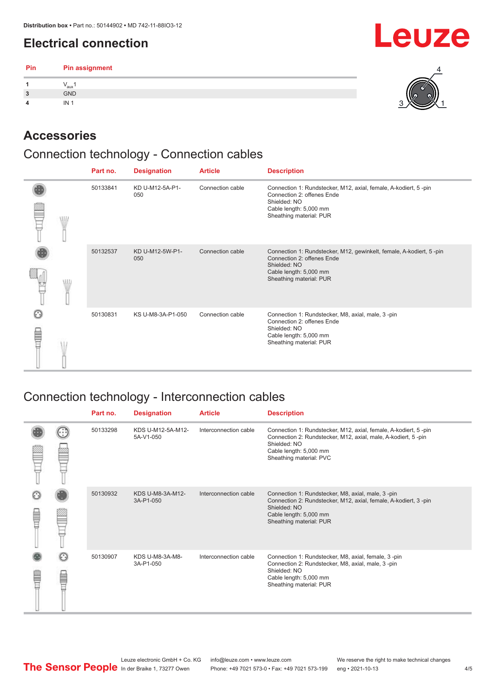## <span id="page-3-0"></span>**Electrical connection**

| Pin | <b>Pin assignment</b> |   |
|-----|-----------------------|---|
|     | "aux                  |   |
| 3   | GND                   | w |
| 4   | IN <sub>1</sub>       |   |

## **Accessories**

## Connection technology - Connection cables

|  |   | Part no. | <b>Designation</b>     | <b>Article</b>   | <b>Description</b>                                                                                                                                                     |
|--|---|----------|------------------------|------------------|------------------------------------------------------------------------------------------------------------------------------------------------------------------------|
|  | W | 50133841 | KD U-M12-5A-P1-<br>050 | Connection cable | Connection 1: Rundstecker, M12, axial, female, A-kodiert, 5-pin<br>Connection 2: offenes Ende<br>Shielded: NO<br>Cable length: 5,000 mm<br>Sheathing material: PUR     |
|  |   | 50132537 | KD U-M12-5W-P1-<br>050 | Connection cable | Connection 1: Rundstecker, M12, gewinkelt, female, A-kodiert, 5-pin<br>Connection 2: offenes Ende<br>Shielded: NO<br>Cable length: 5,000 mm<br>Sheathing material: PUR |
|  |   | 50130831 | KS U-M8-3A-P1-050      | Connection cable | Connection 1: Rundstecker, M8, axial, male, 3-pin<br>Connection 2: offenes Ende<br>Shielded: NO<br>Cable length: 5,000 mm<br>Sheathing material: PUR                   |

## Connection technology - Interconnection cables

|   |              | Part no. | <b>Designation</b>             | <b>Article</b>        | <b>Description</b>                                                                                                                                                                                    |
|---|--------------|----------|--------------------------------|-----------------------|-------------------------------------------------------------------------------------------------------------------------------------------------------------------------------------------------------|
|   |              | 50133298 | KDS U-M12-5A-M12-<br>5A-V1-050 | Interconnection cable | Connection 1: Rundstecker, M12, axial, female, A-kodiert, 5-pin<br>Connection 2: Rundstecker, M12, axial, male, A-kodiert, 5-pin<br>Shielded: NO<br>Cable length: 5,000 mm<br>Sheathing material: PVC |
| ŧ |              | 50130932 | KDS U-M8-3A-M12-<br>3A-P1-050  | Interconnection cable | Connection 1: Rundstecker, M8, axial, male, 3-pin<br>Connection 2: Rundstecker, M12, axial, female, A-kodiert, 3-pin<br>Shielded: NO<br>Cable length: 5,000 mm<br>Sheathing material: PUR             |
|   | $\odot$<br>E | 50130907 | KDS U-M8-3A-M8-<br>3A-P1-050   | Interconnection cable | Connection 1: Rundstecker, M8, axial, female, 3-pin<br>Connection 2: Rundstecker, M8, axial, male, 3-pin<br>Shielded: NO<br>Cable length: 5,000 mm<br>Sheathing material: PUR                         |

**Leuze**